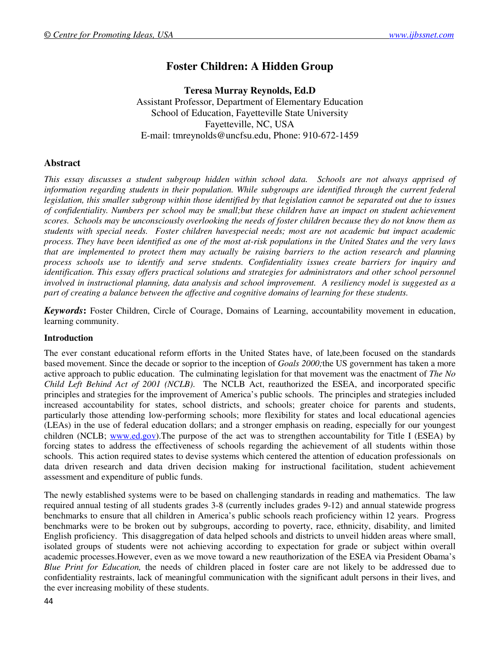# **Foster Children: A Hidden Group**

**Teresa Murray Reynolds, Ed.D**  Assistant Professor, Department of Elementary Education School of Education, Fayetteville State University Fayetteville, NC, USA E-mail: tmreynolds@uncfsu.edu, Phone: 910-672-1459

# **Abstract**

*This essay discusses a student subgroup hidden within school data. Schools are not always apprised of*  information regarding students in their population. While subgroups are identified through the current federal *legislation, this smaller subgroup within those identified by that legislation cannot be separated out due to issues of confidentiality. Numbers per school may be small;but these children have an impact on student achievement scores. Schools may be unconsciously overlooking the needs of foster children because they do not know them as students with special needs. Foster children havespecial needs; most are not academic but impact academic process. They have been identified as one of the most at-risk populations in the United States and the very laws that are implemented to protect them may actually be raising barriers to the action research and planning process schools use to identify and serve students. Confidentiality issues create barriers for inquiry and identification. This essay offers practical solutions and strategies for administrators and other school personnel involved in instructional planning, data analysis and school improvement. A resiliency model is suggested as a part of creating a balance between the affective and cognitive domains of learning for these students.* 

*Keywords***:** Foster Children, Circle of Courage, Domains of Learning, accountability movement in education, learning community.

# **Introduction**

The ever constant educational reform efforts in the United States have, of late,been focused on the standards based movement. Since the decade or soprior to the inception of *Goals 2000;*the US government has taken a more active approach to public education. The culminating legislation for that movement was the enactment of *The No Child Left Behind Act of 2001 (NCLB)*. The NCLB Act, reauthorized the ESEA, and incorporated specific principles and strategies for the improvement of America's public schools. The principles and strategies included increased accountability for states, school districts, and schools; greater choice for parents and students, particularly those attending low-performing schools; more flexibility for states and local educational agencies (LEAs) in the use of federal education dollars; and a stronger emphasis on reading, especially for our youngest children (NCLB; www.ed.gov). The purpose of the act was to strengthen accountability for Title I (ESEA) by forcing states to address the effectiveness of schools regarding the achievement of all students within those schools. This action required states to devise systems which centered the attention of education professionals on data driven research and data driven decision making for instructional facilitation, student achievement assessment and expenditure of public funds.

The newly established systems were to be based on challenging standards in reading and mathematics. The law required annual testing of all students grades 3-8 (currently includes grades 9-12) and annual statewide progress benchmarks to ensure that all children in America's public schools reach proficiency within 12 years. Progress benchmarks were to be broken out by subgroups, according to poverty, race, ethnicity, disability, and limited English proficiency. This disaggregation of data helped schools and districts to unveil hidden areas where small, isolated groups of students were not achieving according to expectation for grade or subject within overall academic processes.However, even as we move toward a new reauthorization of the ESEA via President Obama's *Blue Print for Education,* the needs of children placed in foster care are not likely to be addressed due to confidentiality restraints, lack of meaningful communication with the significant adult persons in their lives, and the ever increasing mobility of these students.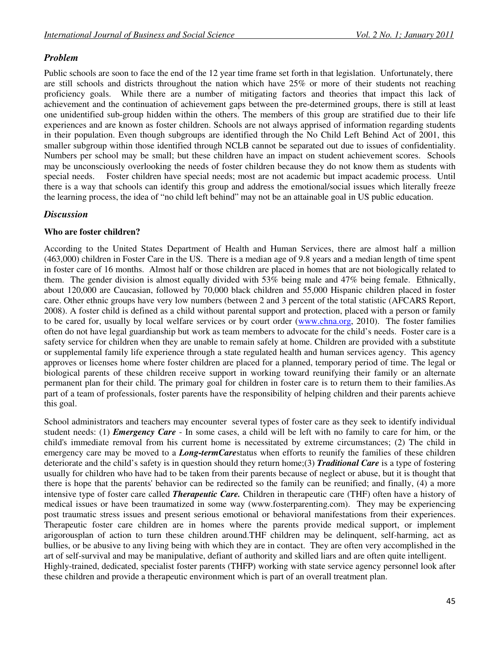# *Problem*

Public schools are soon to face the end of the 12 year time frame set forth in that legislation. Unfortunately, there are still schools and districts throughout the nation which have 25% or more of their students not reaching proficiency goals. While there are a number of mitigating factors and theories that impact this lack of achievement and the continuation of achievement gaps between the pre-determined groups, there is still at least one unidentified sub-group hidden within the others. The members of this group are stratified due to their life experiences and are known as foster children. Schools are not always apprised of information regarding students in their population. Even though subgroups are identified through the No Child Left Behind Act of 2001, this smaller subgroup within those identified through NCLB cannot be separated out due to issues of confidentiality. Numbers per school may be small; but these children have an impact on student achievement scores. Schools may be unconsciously overlooking the needs of foster children because they do not know them as students with special needs. Foster children have special needs; most are not academic but impact academic process. Until there is a way that schools can identify this group and address the emotional/social issues which literally freeze the learning process, the idea of "no child left behind" may not be an attainable goal in US public education.

# *Discussion*

# **Who are foster children?**

According to the United States Department of Health and Human Services, there are almost half a million (463,000) children in Foster Care in the US. There is a median age of 9.8 years and a median length of time spent in foster care of 16 months. Almost half or those children are placed in homes that are not biologically related to them. The gender division is almost equally divided with 53% being male and 47% being female. Ethnically, about 120,000 are Caucasian, followed by 70,000 black children and 55,000 Hispanic children placed in foster care. Other ethnic groups have very low numbers (between 2 and 3 percent of the total statistic (AFCARS Report, 2008). A foster child is defined as a child without parental support and protection, placed with a person or family to be cared for, usually by local welfare services or by court order (www.chna.org, 2010). The foster families often do not have legal guardianship but work as team members to advocate for the child's needs. Foster care is a safety service for children when they are unable to remain safely at home. Children are provided with a substitute or supplemental family life experience through a state regulated health and human services agency. This agency approves or licenses home where foster children are placed for a planned, temporary period of time. The legal or biological parents of these children receive support in working toward reunifying their family or an alternate permanent plan for their child. The primary goal for children in foster care is to return them to their families.As part of a team of professionals, foster parents have the responsibility of helping children and their parents achieve this goal.

School administrators and teachers may encounter several types of foster care as they seek to identify individual student needs: (1) *Emergency Care* - In some cases, a child will be left with no family to care for him, or the child's immediate removal from his current home is necessitated by extreme circumstances; (2) The child in emergency care may be moved to a *Long-termCare*status when efforts to reunify the families of these children deteriorate and the child's safety is in question should they return home;(3) *Traditional Care* is a type of fostering usually for children who have had to be taken from their parents because of neglect or abuse, but it is thought that there is hope that the parents' behavior can be redirected so the family can be reunified; and finally, (4) a more intensive type of foster care called *Therapeutic Care.* Children in therapeutic care (THF) often have a history of medical issues or have been traumatized in some way (www.fosterparenting.com). They may be experiencing post traumatic stress issues and present serious emotional or behavioral manifestations from their experiences. Therapeutic foster care children are in homes where the parents provide medical support, or implement arigorousplan of action to turn these children around.THF children may be delinquent, self-harming, act as bullies, or be abusive to any living being with which they are in contact. They are often very accomplished in the art of self-survival and may be manipulative, defiant of authority and skilled liars and are often quite intelligent. Highly-trained, dedicated, specialist foster parents (THFP) working with state service agency personnel look after these children and provide a therapeutic environment which is part of an overall treatment plan.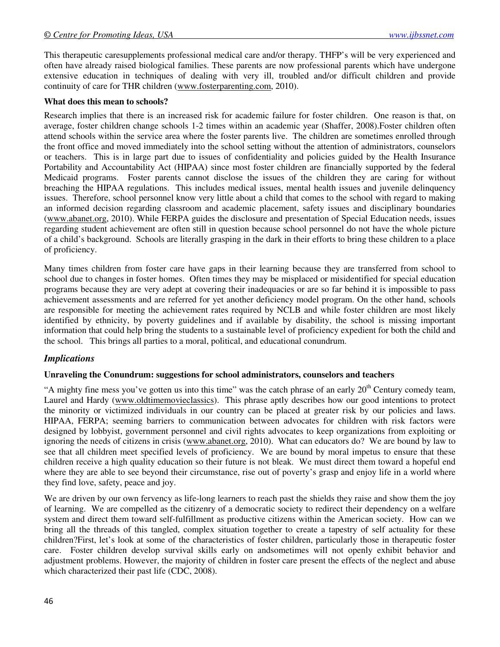This therapeutic caresupplements professional medical care and/or therapy. THFP's will be very experienced and often have already raised biological families. These parents are now professional parents which have undergone extensive education in techniques of dealing with very ill, troubled and/or difficult children and provide continuity of care for THR children (www.fosterparenting.com, 2010).

#### **What does this mean to schools?**

Research implies that there is an increased risk for academic failure for foster children. One reason is that, on average, foster children change schools 1-2 times within an academic year (Shaffer, 2008).Foster children often attend schools within the service area where the foster parents live. The children are sometimes enrolled through the front office and moved immediately into the school setting without the attention of administrators, counselors or teachers. This is in large part due to issues of confidentiality and policies guided by the Health Insurance Portability and Accountability Act (HIPAA) since most foster children are financially supported by the federal Medicaid programs. Foster parents cannot disclose the issues of the children they are caring for without breaching the HIPAA regulations. This includes medical issues, mental health issues and juvenile delinquency issues. Therefore, school personnel know very little about a child that comes to the school with regard to making an informed decision regarding classroom and academic placement, safety issues and disciplinary boundaries (www.abanet.org, 2010). While FERPA guides the disclosure and presentation of Special Education needs, issues regarding student achievement are often still in question because school personnel do not have the whole picture of a child's background. Schools are literally grasping in the dark in their efforts to bring these children to a place of proficiency.

Many times children from foster care have gaps in their learning because they are transferred from school to school due to changes in foster homes. Often times they may be misplaced or misidentified for special education programs because they are very adept at covering their inadequacies or are so far behind it is impossible to pass achievement assessments and are referred for yet another deficiency model program. On the other hand, schools are responsible for meeting the achievement rates required by NCLB and while foster children are most likely identified by ethnicity, by poverty guidelines and if available by disability, the school is missing important information that could help bring the students to a sustainable level of proficiency expedient for both the child and the school. This brings all parties to a moral, political, and educational conundrum.

#### *Implications*

#### **Unraveling the Conundrum: suggestions for school administrators, counselors and teachers**

"A mighty fine mess you've gotten us into this time" was the catch phrase of an early  $20<sup>th</sup>$  Century comedy team, Laurel and Hardy (www.oldtimemovieclassics). This phrase aptly describes how our good intentions to protect the minority or victimized individuals in our country can be placed at greater risk by our policies and laws. HIPAA, FERPA; seeming barriers to communication between advocates for children with risk factors were designed by lobbyist, government personnel and civil rights advocates to keep organizations from exploiting or ignoring the needs of citizens in crisis (www.abanet.org, 2010). What can educators do? We are bound by law to see that all children meet specified levels of proficiency. We are bound by moral impetus to ensure that these children receive a high quality education so their future is not bleak. We must direct them toward a hopeful end where they are able to see beyond their circumstance, rise out of poverty's grasp and enjoy life in a world where they find love, safety, peace and joy.

We are driven by our own fervency as life-long learners to reach past the shields they raise and show them the joy of learning. We are compelled as the citizenry of a democratic society to redirect their dependency on a welfare system and direct them toward self-fulfillment as productive citizens within the American society. How can we bring all the threads of this tangled, complex situation together to create a tapestry of self actuality for these children?First, let's look at some of the characteristics of foster children, particularly those in therapeutic foster care. Foster children develop survival skills early on andsometimes will not openly exhibit behavior and adjustment problems. However, the majority of children in foster care present the effects of the neglect and abuse which characterized their past life (CDC, 2008).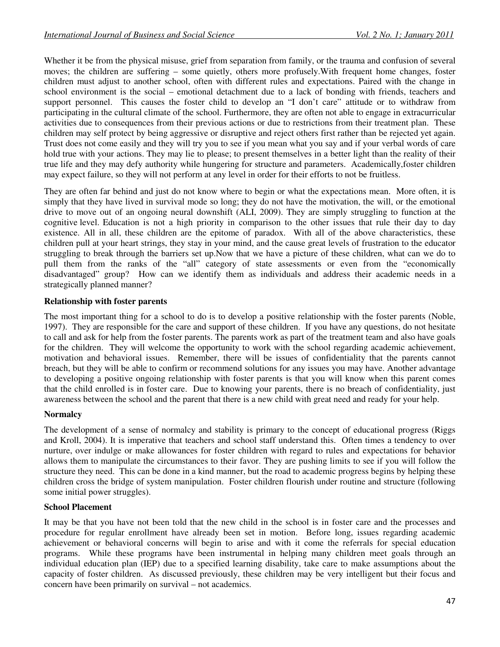Whether it be from the physical misuse, grief from separation from family, or the trauma and confusion of several moves; the children are suffering – some quietly, others more profusely.With frequent home changes, foster children must adjust to another school, often with different rules and expectations. Paired with the change in school environment is the social – emotional detachment due to a lack of bonding with friends, teachers and support personnel. This causes the foster child to develop an "I don't care" attitude or to withdraw from participating in the cultural climate of the school. Furthermore, they are often not able to engage in extracurricular activities due to consequences from their previous actions or due to restrictions from their treatment plan. These children may self protect by being aggressive or disruptive and reject others first rather than be rejected yet again. Trust does not come easily and they will try you to see if you mean what you say and if your verbal words of care hold true with your actions. They may lie to please; to present themselves in a better light than the reality of their true life and they may defy authority while hungering for structure and parameters. Academically,foster children may expect failure, so they will not perform at any level in order for their efforts to not be fruitless.

They are often far behind and just do not know where to begin or what the expectations mean. More often, it is simply that they have lived in survival mode so long; they do not have the motivation, the will, or the emotional drive to move out of an ongoing neural downshift (ALI, 2009). They are simply struggling to function at the cognitive level. Education is not a high priority in comparison to the other issues that rule their day to day existence. All in all, these children are the epitome of paradox. With all of the above characteristics, these children pull at your heart strings, they stay in your mind, and the cause great levels of frustration to the educator struggling to break through the barriers set up.Now that we have a picture of these children, what can we do to pull them from the ranks of the "all" category of state assessments or even from the "economically disadvantaged" group? How can we identify them as individuals and address their academic needs in a strategically planned manner?

# **Relationship with foster parents**

The most important thing for a school to do is to develop a positive relationship with the foster parents (Noble, 1997). They are responsible for the care and support of these children. If you have any questions, do not hesitate to call and ask for help from the foster parents. The parents work as part of the treatment team and also have goals for the children. They will welcome the opportunity to work with the school regarding academic achievement, motivation and behavioral issues. Remember, there will be issues of confidentiality that the parents cannot breach, but they will be able to confirm or recommend solutions for any issues you may have. Another advantage to developing a positive ongoing relationship with foster parents is that you will know when this parent comes that the child enrolled is in foster care. Due to knowing your parents, there is no breach of confidentiality, just awareness between the school and the parent that there is a new child with great need and ready for your help.

#### **Normalcy**

The development of a sense of normalcy and stability is primary to the concept of educational progress (Riggs and Kroll, 2004). It is imperative that teachers and school staff understand this. Often times a tendency to over nurture, over indulge or make allowances for foster children with regard to rules and expectations for behavior allows them to manipulate the circumstances to their favor. They are pushing limits to see if you will follow the structure they need. This can be done in a kind manner, but the road to academic progress begins by helping these children cross the bridge of system manipulation. Foster children flourish under routine and structure (following some initial power struggles).

#### **School Placement**

It may be that you have not been told that the new child in the school is in foster care and the processes and procedure for regular enrollment have already been set in motion. Before long, issues regarding academic achievement or behavioral concerns will begin to arise and with it come the referrals for special education programs. While these programs have been instrumental in helping many children meet goals through an individual education plan (IEP) due to a specified learning disability, take care to make assumptions about the capacity of foster children. As discussed previously, these children may be very intelligent but their focus and concern have been primarily on survival – not academics.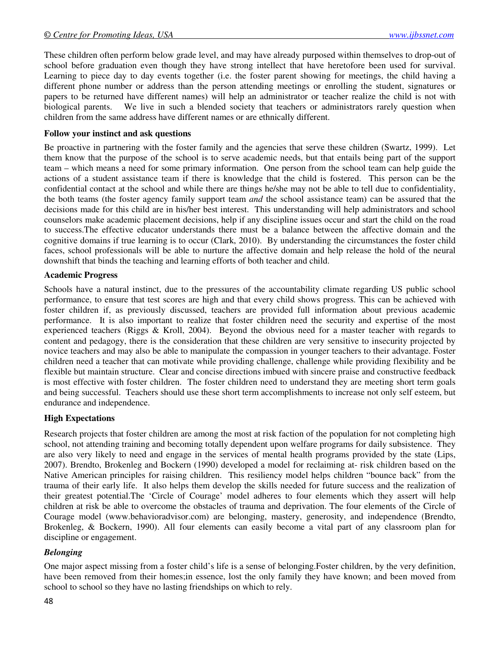These children often perform below grade level, and may have already purposed within themselves to drop-out of school before graduation even though they have strong intellect that have heretofore been used for survival. Learning to piece day to day events together (i.e. the foster parent showing for meetings, the child having a different phone number or address than the person attending meetings or enrolling the student, signatures or papers to be returned have different names) will help an administrator or teacher realize the child is not with biological parents. We live in such a blended society that teachers or administrators rarely question when children from the same address have different names or are ethnically different.

#### **Follow your instinct and ask questions**

Be proactive in partnering with the foster family and the agencies that serve these children (Swartz, 1999). Let them know that the purpose of the school is to serve academic needs, but that entails being part of the support team – which means a need for some primary information. One person from the school team can help guide the actions of a student assistance team if there is knowledge that the child is fostered. This person can be the confidential contact at the school and while there are things he/she may not be able to tell due to confidentiality, the both teams (the foster agency family support team *and* the school assistance team) can be assured that the decisions made for this child are in his/her best interest. This understanding will help administrators and school counselors make academic placement decisions, help if any discipline issues occur and start the child on the road to success.The effective educator understands there must be a balance between the affective domain and the cognitive domains if true learning is to occur (Clark, 2010). By understanding the circumstances the foster child faces, school professionals will be able to nurture the affective domain and help release the hold of the neural downshift that binds the teaching and learning efforts of both teacher and child.

#### **Academic Progress**

Schools have a natural instinct, due to the pressures of the accountability climate regarding US public school performance, to ensure that test scores are high and that every child shows progress. This can be achieved with foster children if, as previously discussed, teachers are provided full information about previous academic performance. It is also important to realize that foster children need the security and expertise of the most experienced teachers (Riggs & Kroll, 2004). Beyond the obvious need for a master teacher with regards to content and pedagogy, there is the consideration that these children are very sensitive to insecurity projected by novice teachers and may also be able to manipulate the compassion in younger teachers to their advantage. Foster children need a teacher that can motivate while providing challenge, challenge while providing flexibility and be flexible but maintain structure. Clear and concise directions imbued with sincere praise and constructive feedback is most effective with foster children. The foster children need to understand they are meeting short term goals and being successful. Teachers should use these short term accomplishments to increase not only self esteem, but endurance and independence.

#### **High Expectations**

Research projects that foster children are among the most at risk faction of the population for not completing high school, not attending training and becoming totally dependent upon welfare programs for daily subsistence. They are also very likely to need and engage in the services of mental health programs provided by the state (Lips, 2007). Brendto, Brokenleg and Bockern (1990) developed a model for reclaiming at- risk children based on the Native American principles for raising children. This resiliency model helps children "bounce back" from the trauma of their early life. It also helps them develop the skills needed for future success and the realization of their greatest potential.The 'Circle of Courage' model adheres to four elements which they assert will help children at risk be able to overcome the obstacles of trauma and deprivation. The four elements of the Circle of Courage model (www.behavioradvisor.com) are belonging, mastery, generosity, and independence (Brendto, Brokenleg, & Bockern, 1990). All four elements can easily become a vital part of any classroom plan for discipline or engagement.

#### *Belonging*

One major aspect missing from a foster child's life is a sense of belonging.Foster children, by the very definition, have been removed from their homes;in essence, lost the only family they have known; and been moved from school to school so they have no lasting friendships on which to rely.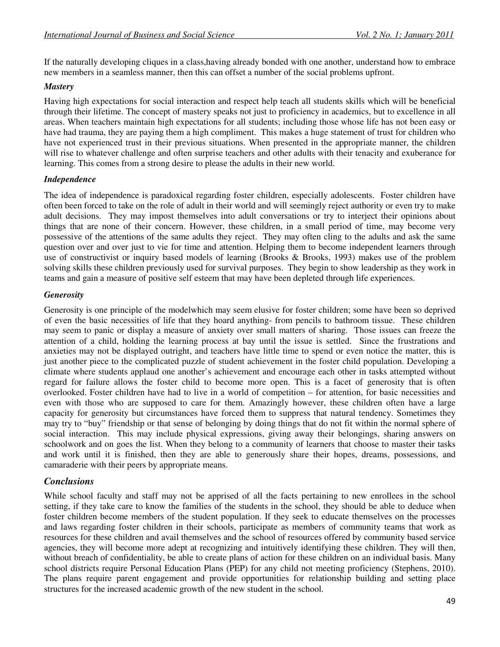If the naturally developing cliques in a class,having already bonded with one another, understand how to embrace new members in a seamless manner, then this can offset a number of the social problems upfront.

# *Mastery*

Having high expectations for social interaction and respect help teach all students skills which will be beneficial through their lifetime. The concept of mastery speaks not just to proficiency in academics, but to excellence in all areas. When teachers maintain high expectations for all students; including those whose life has not been easy or have had trauma, they are paying them a high compliment. This makes a huge statement of trust for children who have not experienced trust in their previous situations. When presented in the appropriate manner, the children will rise to whatever challenge and often surprise teachers and other adults with their tenacity and exuberance for learning. This comes from a strong desire to please the adults in their new world.

# *Independence*

The idea of independence is paradoxical regarding foster children, especially adolescents. Foster children have often been forced to take on the role of adult in their world and will seemingly reject authority or even try to make adult decisions. They may impost themselves into adult conversations or try to interject their opinions about things that are none of their concern. However, these children, in a small period of time, may become very possessive of the attentions of the same adults they reject. They may often cling to the adults and ask the same question over and over just to vie for time and attention. Helping them to become independent learners through use of constructivist or inquiry based models of learning (Brooks & Brooks, 1993) makes use of the problem solving skills these children previously used for survival purposes. They begin to show leadership as they work in teams and gain a measure of positive self esteem that may have been depleted through life experiences.

# *Generosity*

Generosity is one principle of the modelwhich may seem elusive for foster children; some have been so deprived of even the basic necessities of life that they hoard anything- from pencils to bathroom tissue. These children may seem to panic or display a measure of anxiety over small matters of sharing. Those issues can freeze the attention of a child, holding the learning process at bay until the issue is settled. Since the frustrations and anxieties may not be displayed outright, and teachers have little time to spend or even notice the matter, this is just another piece to the complicated puzzle of student achievement in the foster child population. Developing a climate where students applaud one another's achievement and encourage each other in tasks attempted without regard for failure allows the foster child to become more open. This is a facet of generosity that is often overlooked. Foster children have had to live in a world of competition – for attention, for basic necessities and even with those who are supposed to care for them. Amazingly however, these children often have a large capacity for generosity but circumstances have forced them to suppress that natural tendency. Sometimes they may try to "buy" friendship or that sense of belonging by doing things that do not fit within the normal sphere of social interaction. This may include physical expressions, giving away their belongings, sharing answers on schoolwork and on goes the list. When they belong to a community of learners that choose to master their tasks and work until it is finished, then they are able to generously share their hopes, dreams, possessions, and camaraderie with their peers by appropriate means.

# *Conclusions*

While school faculty and staff may not be apprised of all the facts pertaining to new enrollees in the school setting, if they take care to know the families of the students in the school, they should be able to deduce when foster children become members of the student population. If they seek to educate themselves on the processes and laws regarding foster children in their schools, participate as members of community teams that work as resources for these children and avail themselves and the school of resources offered by community based service agencies, they will become more adept at recognizing and intuitively identifying these children. They will then, without breach of confidentiality, be able to create plans of action for these children on an individual basis. Many school districts require Personal Education Plans (PEP) for any child not meeting proficiency (Stephens, 2010). The plans require parent engagement and provide opportunities for relationship building and setting place structures for the increased academic growth of the new student in the school.